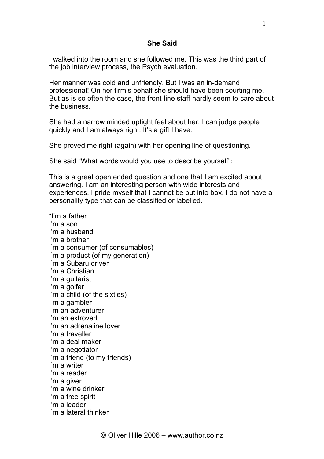## **She Said**

I walked into the room and she followed me. This was the third part of the job interview process, the Psych evaluation.

Her manner was cold and unfriendly. But I was an in-demand professional! On her firm's behalf she should have been courting me. But as is so often the case, the front-line staff hardly seem to care about the business.

She had a narrow minded uptight feel about her. I can judge people quickly and I am always right. It's a gift I have.

She proved me right (again) with her opening line of questioning.

She said "What words would you use to describe yourself":

This is a great open ended question and one that I am excited about answering. I am an interesting person with wide interests and experiences. I pride myself that I cannot be put into box. I do not have a personality type that can be classified or labelled.

"I'm a father I'm a son I'm a husband I'm a brother I'm a consumer (of consumables) I'm a product (of my generation) I'm a Subaru driver I'm a Christian I'm a guitarist I'm a golfer I'm a child (of the sixties) I'm a gambler I'm an adventurer I'm an extrovert I'm an adrenaline lover I'm a traveller I'm a deal maker I'm a negotiator I'm a friend (to my friends) I'm a writer I'm a reader I'm a giver I'm a wine drinker I'm a free spirit I'm a leader I'm a lateral thinker